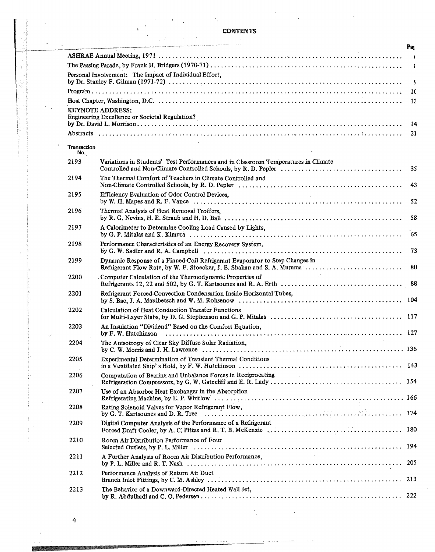|                                                                           | <b>国内的问题和"国家"的一个"国家"的"国家"的"国家"和国家的国家,如何国家的国家,国家国家的国家和国家的国家,国家国家的国家和国家和国家的国家和国家和国家的国家和国家和国家和国家和国家的国家和国家和国家和国家的国家。</b>                                                                            | Par      |  |
|---------------------------------------------------------------------------|-------------------------------------------------------------------------------------------------------------------------------------------------------------------------------------------------|----------|--|
|                                                                           |                                                                                                                                                                                                 | $\sim$ 1 |  |
| $\mathbf{r}$                                                              |                                                                                                                                                                                                 |          |  |
|                                                                           | Personal Involvement: The Impact of Individual Effort,                                                                                                                                          | -9       |  |
|                                                                           |                                                                                                                                                                                                 | 10       |  |
|                                                                           |                                                                                                                                                                                                 | -13      |  |
| <b>KEYNOTE ADDRESS:</b><br>Engineering Excellence or Societal Regulation? |                                                                                                                                                                                                 |          |  |
|                                                                           |                                                                                                                                                                                                 | 14       |  |
|                                                                           |                                                                                                                                                                                                 | 21       |  |
| Transaction<br>No.                                                        |                                                                                                                                                                                                 |          |  |
| 2193                                                                      | Variations in Students' Test Performances and in Classroom Temperatures in Climate                                                                                                              | 35       |  |
| 2194                                                                      | The Thermal Comfort of Teachers in Climate Controlled and                                                                                                                                       | 43       |  |
| 2195                                                                      | Efficiency Evaluation of Odor Control Devices,<br>$\sim$                                                                                                                                        | 52       |  |
| 2196                                                                      | Thermal Analysis of Heat Removal Troffers,                                                                                                                                                      | -58      |  |
| 2197                                                                      | A Calorimeter to Determine Cooling Load Caused by Lights,                                                                                                                                       |          |  |
| 2198                                                                      | Performance Characteristics of an Energy Recovery System,                                                                                                                                       | 73       |  |
| 2199                                                                      | Dynamic Response of a Finned-Coil Refrigerant Evaporator to Step Changes in<br>Refrigerant Flow Rate, by W. F. Stoecker, J. E. Shahan and S. A. Mumma                                           | -80      |  |
| 2200                                                                      | Computer Calculation of the Thermodynamic Properties of                                                                                                                                         |          |  |
| 2201                                                                      | Refrigerant Forced-Convection Condensation Inside Horizontal Tubes,                                                                                                                             |          |  |
| 2202                                                                      | Calculation of Heat Conduction Transfer Functions                                                                                                                                               |          |  |
| 2203                                                                      | An Insulation "Dividend" Based on the Comfort Equation,                                                                                                                                         |          |  |
| 2204                                                                      | The Anisotropy of Clear Sky Diffuse Solar Radiation,<br>. 136<br>by C. W. Morris and J. H. Lawrence $\dots \dots \dots \dots \dots \dots \dots \dots \dots \dots \dots \dots \dots \dots \dots$ |          |  |
| 2205                                                                      | Experimental Determination of Transient Thermal Conditions                                                                                                                                      |          |  |
| 2206                                                                      | Computation of Bearing and Unbalance Forces in Reciprocating<br>$\sim 100$                                                                                                                      |          |  |
| 2207                                                                      | Use of an Absorber Heat Exchanger in the Absorption                                                                                                                                             |          |  |
| 2208                                                                      | Rating Solenoid Valves for Vapor Refrigerant Flow.                                                                                                                                              |          |  |
| 2209                                                                      | Digital Computer Analysis of the Performance of a Refrigerant<br>Forced Draft Cooler, by A. C. Pittas and R. T. B. McKenzie                                                                     | 180      |  |
| 2210                                                                      | Room Air Distribution Performance of Four                                                                                                                                                       |          |  |
| 2211                                                                      | A Further Analysis of Room Air Distribution Performance,                                                                                                                                        | 205      |  |
| 2212                                                                      | Performance Analysis of Return Air Duct                                                                                                                                                         | 213      |  |
| 2213                                                                      | The Behavior of a Downward-Directed Heated Wall Jet,                                                                                                                                            | 222      |  |
|                                                                           |                                                                                                                                                                                                 |          |  |